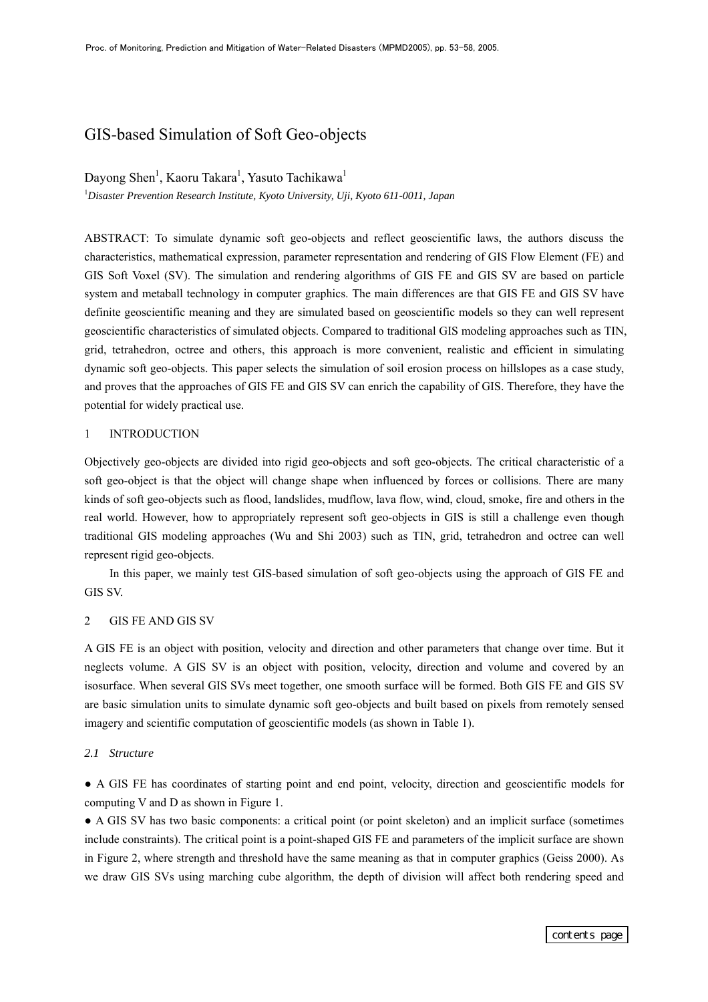# GIS-based Simulation of Soft Geo-objects

Dayong Shen<sup>1</sup>, Kaoru Takara<sup>1</sup>, Yasuto Tachikawa<sup>1</sup>

1 *Disaster Prevention Research Institute, Kyoto University, Uji, Kyoto 611-0011, Japan* 

ABSTRACT: To simulate dynamic soft geo-objects and reflect geoscientific laws, the authors discuss the characteristics, mathematical expression, parameter representation and rendering of GIS Flow Element (FE) and GIS Soft Voxel (SV). The simulation and rendering algorithms of GIS FE and GIS SV are based on particle system and metaball technology in computer graphics. The main differences are that GIS FE and GIS SV have definite geoscientific meaning and they are simulated based on geoscientific models so they can well represent geoscientific characteristics of simulated objects. Compared to traditional GIS modeling approaches such as TIN, grid, tetrahedron, octree and others, this approach is more convenient, realistic and efficient in simulating dynamic soft geo-objects. This paper selects the simulation of soil erosion process on hillslopes as a case study, and proves that the approaches of GIS FE and GIS SV can enrich the capability of GIS. Therefore, they have the potential for widely practical use.

#### 1 INTRODUCTION

Objectively geo-objects are divided into rigid geo-objects and soft geo-objects. The critical characteristic of a soft geo-object is that the object will change shape when influenced by forces or collisions. There are many kinds of soft geo-objects such as flood, landslides, mudflow, lava flow, wind, cloud, smoke, fire and others in the real world. However, how to appropriately represent soft geo-objects in GIS is still a challenge even though traditional GIS modeling approaches (Wu and Shi 2003) such as TIN, grid, tetrahedron and octree can well represent rigid geo-objects.

In this paper, we mainly test GIS-based simulation of soft geo-objects using the approach of GIS FE and GIS SV.

# 2 GIS FE AND GIS SV

A GIS FE is an object with position, velocity and direction and other parameters that change over time. But it neglects volume. A GIS SV is an object with position, velocity, direction and volume and covered by an isosurface. When several GIS SVs meet together, one smooth surface will be formed. Both GIS FE and GIS SV are basic simulation units to simulate dynamic soft geo-objects and built based on pixels from remotely sensed imagery and scientific computation of geoscientific models (as shown in Table 1).

#### *2.1 Structure*

● A GIS FE has coordinates of starting point and end point, velocity, direction and geoscientific models for computing V and D as shown in Figure 1.

● A GIS SV has two basic components: a critical point (or point skeleton) and an implicit surface (sometimes include constraints). The critical point is a point-shaped GIS FE and parameters of the implicit surface are shown in Figure 2, where strength and threshold have the same meaning as that in computer graphics (Geiss 2000). As we draw GIS SVs using marching cube algorithm, the depth of division will affect both rendering speed and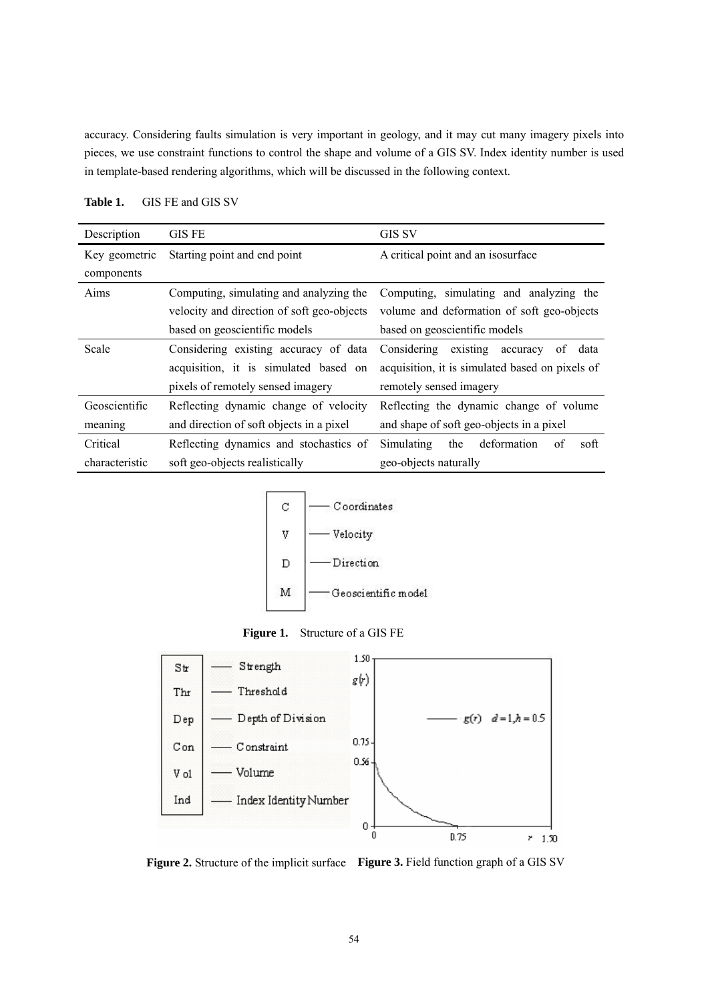accuracy. Considering faults simulation is very important in geology, and it may cut many imagery pixels into pieces, we use constraint functions to control the shape and volume of a GIS SV. Index identity number is used in template-based rendering algorithms, which will be discussed in the following context.

| Description    | <b>GIS FE</b>                              | GIS SV                                          |
|----------------|--------------------------------------------|-------------------------------------------------|
| Key geometric  | Starting point and end point               | A critical point and an isosurface              |
| components     |                                            |                                                 |
| Aims           | Computing, simulating and analyzing the    | Computing, simulating and analyzing the         |
|                | velocity and direction of soft geo-objects | volume and deformation of soft geo-objects      |
|                | based on geoscientific models              | based on geoscientific models                   |
| Scale          | Considering existing accuracy of data      | existing accuracy<br>Considering<br>of<br>data  |
|                | acquisition, it is simulated based on      | acquisition, it is simulated based on pixels of |
|                | pixels of remotely sensed imagery          | remotely sensed imagery                         |
| Geoscientific  | Reflecting dynamic change of velocity      | Reflecting the dynamic change of volume         |
| meaning        | and direction of soft objects in a pixel   | and shape of soft geo-objects in a pixel        |
| Critical       | Reflecting dynamics and stochastics of     | deformation<br>Simulating<br>the<br>of<br>soft  |
| characteristic | soft geo-objects realistically             | geo-objects naturally                           |

**Table 1.** GIS FE and GIS SV







**Figure 2.** Structure of the implicit surface **Figure 3.** Field function graph of a GIS SV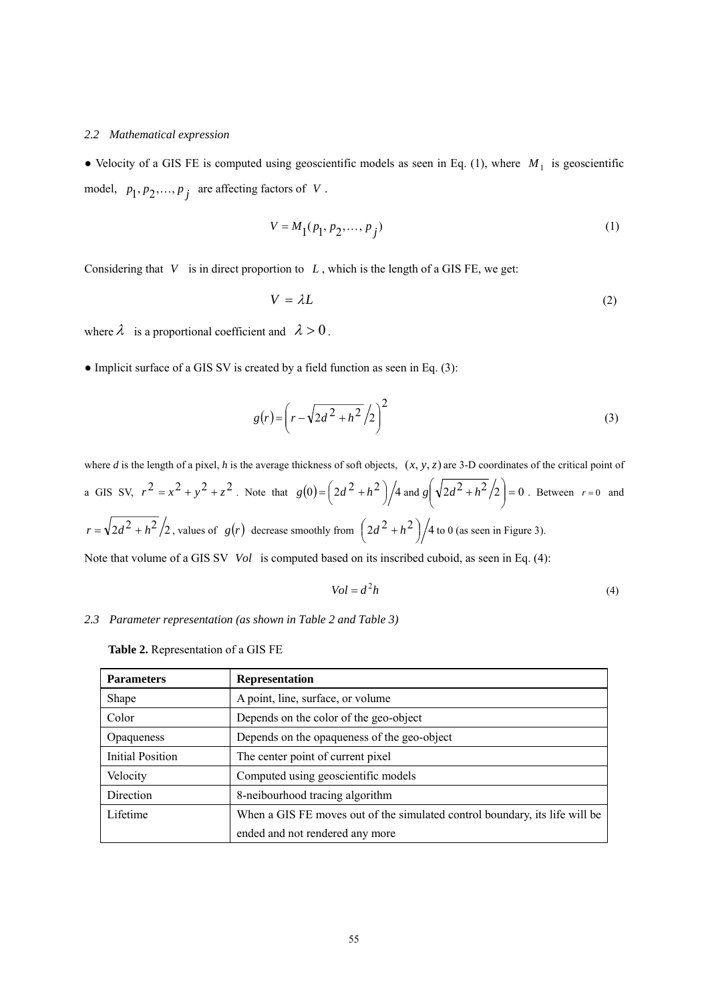#### *2.2 Mathematical expression*

• Velocity of a GIS FE is computed using geoscientific models as seen in Eq. (1), where  $M_1$  is geoscientific model,  $p_1, p_2, \dots, p_j$  are affecting factors of *V*.

$$
V = M_1(p_1, p_2, \dots, p_j)
$$
 (1)

Considering that  $V$  is in direct proportion to  $L$ , which is the length of a GIS FE, we get:

$$
V = \lambda L \tag{2}
$$

where  $\lambda$  is a proportional coefficient and  $\lambda > 0$ .

 $\bullet$  Implicit surface of a GIS SV is created by a field function as seen in Eq. (3):

$$
g(r) = \left(r - \sqrt{2d^2 + h^2}/2\right)^2\tag{3}
$$

where *d* is the length of a pixel, *h* is the average thickness of soft objects,  $(x, y, z)$  are 3-D coordinates of the critical point of a GIS SV,  $r^2 = x^2 + y^2 + z^2$ . Note that  $g(0) = \left(2d^2 + h^2\right)/4$  and  $g\left(\sqrt{2d^2 + h^2}/2\right) = 0$  $\left( \sqrt{2d^2 + h^2}/2 \right)$ ⎝  $g\left(\sqrt{2d^2 + h^2}/2\right) = 0$ . Between  $r = 0$  and  $r = \sqrt{2d^2 + h^2/2}$ , values of  $g(r)$  decrease smoothly from  $\left(2d^2 + h^2\right)/4$  to 0 (as seen in Figure 3). Note that volume of a GIS SV *Vol* is computed based on its inscribed cuboid, as seen in Eq. (4):

$$
Vol = d^2h \tag{4}
$$

#### *2.3 Parameter representation (as shown in Table 2 and Table 3)*

**Table 2.** Representation of a GIS FE

| <b>Parameters</b> | <b>Representation</b>                                                       |
|-------------------|-----------------------------------------------------------------------------|
| Shape             | A point, line, surface, or volume                                           |
| Color             | Depends on the color of the geo-object                                      |
| <b>Opaqueness</b> | Depends on the opaqueness of the geo-object                                 |
| Initial Position  | The center point of current pixel                                           |
| Velocity          | Computed using geoscientific models                                         |
| Direction         | 8-neibourhood tracing algorithm                                             |
| Lifetime          | When a GIS FE moves out of the simulated control boundary, its life will be |
|                   | ended and not rendered any more                                             |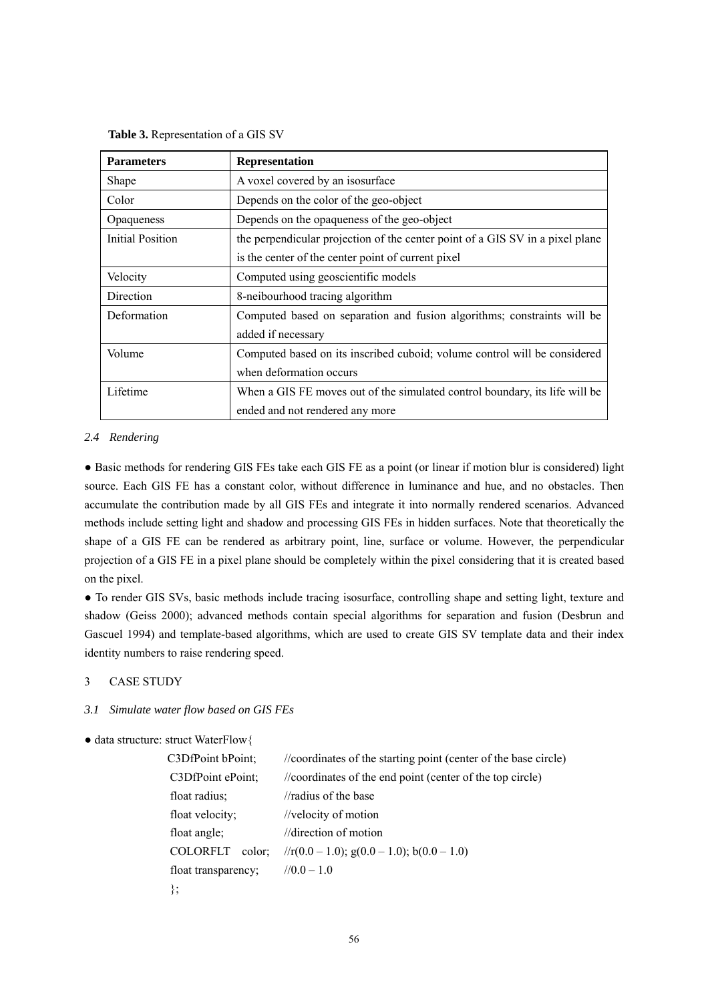|  | Table 3. Representation of a GIS SV |  |  |
|--|-------------------------------------|--|--|
|--|-------------------------------------|--|--|

| <b>Parameters</b> | <b>Representation</b>                                                         |
|-------------------|-------------------------------------------------------------------------------|
| Shape             | A voxel covered by an isosurface                                              |
| Color             | Depends on the color of the geo-object                                        |
| Opaqueness        | Depends on the opaqueness of the geo-object                                   |
| Initial Position  | the perpendicular projection of the center point of a GIS SV in a pixel plane |
|                   | is the center of the center point of current pixel                            |
| Velocity          | Computed using geoscientific models                                           |
| Direction         | 8-neibourhood tracing algorithm                                               |
| Deformation       | Computed based on separation and fusion algorithms; constraints will be       |
|                   | added if necessary                                                            |
| Volume            | Computed based on its inscribed cuboid; volume control will be considered     |
|                   | when deformation occurs                                                       |
| Lifetime          | When a GIS FE moves out of the simulated control boundary, its life will be   |
|                   | ended and not rendered any more                                               |

# *2.4 Rendering*

● Basic methods for rendering GIS FEs take each GIS FE as a point (or linear if motion blur is considered) light source. Each GIS FE has a constant color, without difference in luminance and hue, and no obstacles. Then accumulate the contribution made by all GIS FEs and integrate it into normally rendered scenarios. Advanced methods include setting light and shadow and processing GIS FEs in hidden surfaces. Note that theoretically the shape of a GIS FE can be rendered as arbitrary point, line, surface or volume. However, the perpendicular projection of a GIS FE in a pixel plane should be completely within the pixel considering that it is created based on the pixel.

● To render GIS SVs, basic methods include tracing isosurface, controlling shape and setting light, texture and shadow (Geiss 2000); advanced methods contain special algorithms for separation and fusion (Desbrun and Gascuel 1994) and template-based algorithms, which are used to create GIS SV template data and their index identity numbers to raise rendering speed.

#### 3 CASE STUDY

# *3.1 Simulate water flow based on GIS FEs*

```
● data structure: struct WaterFlow{
```

| C3DfPoint bPoint;         | //coordinates of the starting point (center of the base circle)                          |
|---------------------------|------------------------------------------------------------------------------------------|
| C3DfPoint ePoint;         | //coordinates of the end point (center of the top circle)                                |
| float radius;             | $\pi$ and $\pi$ and $\pi$ and $\pi$ and $\pi$ and $\pi$ and $\pi$ and $\pi$ are the base |
| float velocity;           | //velocity of motion                                                                     |
| float angle;              | $\frac{1}{\sqrt{2}}$ direction of motion                                                 |
| <b>COLORFLT</b><br>color: | $\frac{1}{r(0.0-1.0)}$ ; g(0.0 - 1.0); b(0.0 - 1.0)                                      |
| float transparency;       | $1/0.0 - 1.0$                                                                            |
| $\}$ ;                    |                                                                                          |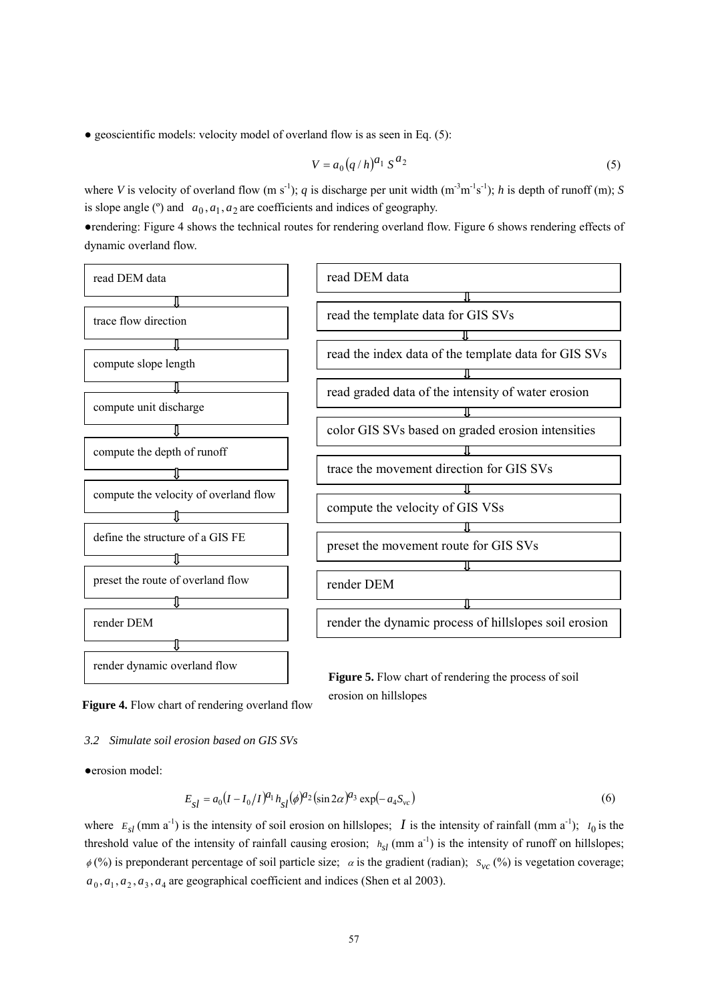$\bullet$  geoscientific models: velocity model of overland flow is as seen in Eq. (5):

$$
V = a_0 (q/h)^{a_1} S^{a_2}
$$
 (5)

where *V* is velocity of overland flow  $(m s<sup>-1</sup>)$ ; *q* is discharge per unit width  $(m<sup>-3</sup>m<sup>-1</sup>s<sup>-1</sup>)$ ; *h* is depth of runoff  $(m)$ ; *S* is slope angle ( $\degree$ ) and  $a_0$ ,  $a_1$ ,  $a_2$  are coefficients and indices of geography.

●rendering: Figure 4 shows the technical routes for rendering overland flow. Figure 6 shows rendering effects of dynamic overland flow.



**Figure 4.** Flow chart of rendering overland flow

*3.2 Simulate soil erosion based on GIS SVs* 

●erosion model:

$$
E_{sl} = a_0 (I - I_0/I)^{a_1} h_{sl} (\phi)^{a_2} (\sin 2\alpha)^{a_3} \exp(-a_4 S_{vc})
$$
 (6)

erosion on hillslopes

where  $E_{sl}$  (mm a<sup>-1</sup>) is the intensity of soil erosion on hillslopes; *I* is the intensity of rainfall (mm a<sup>-1</sup>);  $I_0$  is the threshold value of the intensity of rainfall causing erosion;  $h_{sl}$  (mm a<sup>-1</sup>) is the intensity of runoff on hillslopes;  $\phi$ (%) is preponderant percentage of soil particle size;  $\alpha$  is the gradient (radian);  $s_{\nu c}$  (%) is vegetation coverage;  $a_0$ ,  $a_1$ ,  $a_2$ ,  $a_3$ ,  $a_4$  are geographical coefficient and indices (Shen et al 2003).